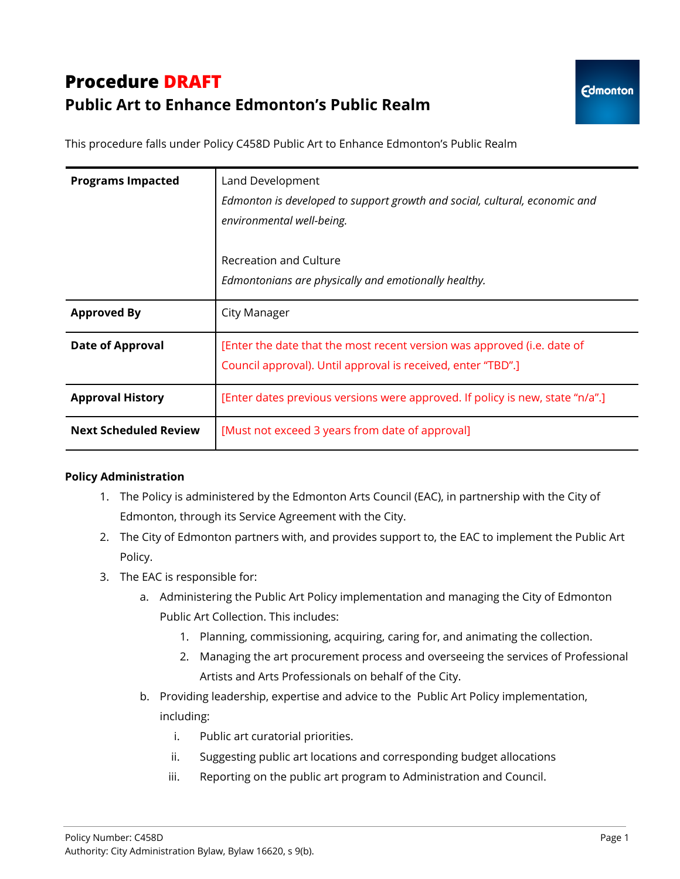# **Procedure DRAFT Public Art to Enhance Edmonton's Public Realm**

This procedure falls under Policy C458D Public Art to Enhance Edmonton's Public Realm

| <b>Programs Impacted</b>     | Land Development<br>Edmonton is developed to support growth and social, cultural, economic and<br>environmental well-being.             |
|------------------------------|-----------------------------------------------------------------------------------------------------------------------------------------|
|                              | Recreation and Culture<br>Edmontonians are physically and emotionally healthy.                                                          |
| <b>Approved By</b>           | City Manager                                                                                                                            |
| <b>Date of Approval</b>      | [Enter the date that the most recent version was approved (i.e. date of<br>Council approval). Until approval is received, enter "TBD".] |
| <b>Approval History</b>      | [Enter dates previous versions were approved. If policy is new, state "n/a".]                                                           |
| <b>Next Scheduled Review</b> | [Must not exceed 3 years from date of approval]                                                                                         |

#### **Policy Administration**

- 1. The Policy is administered by the Edmonton Arts Council (EAC), in partnership with the City of Edmonton, through its Service Agreement with the City.
- 2. The City of Edmonton partners with, and provides support to, the EAC to implement the Public Art Policy.
- 3. The EAC is responsible for:
	- a. Administering the Public Art Policy implementation and managing the City of Edmonton Public Art Collection. This includes:
		- 1. Planning, commissioning, acquiring, caring for, and animating the collection.
		- 2. Managing the art procurement process and overseeing the services of Professional Artists and Arts Professionals on behalf of the City.
	- b. Providing leadership, expertise and advice to the Public Art Policy implementation, including:
		- i. Public art curatorial priorities.
		- ii. Suggesting public art locations and corresponding budget allocations
		- iii. Reporting on the public art program to Administration and Council.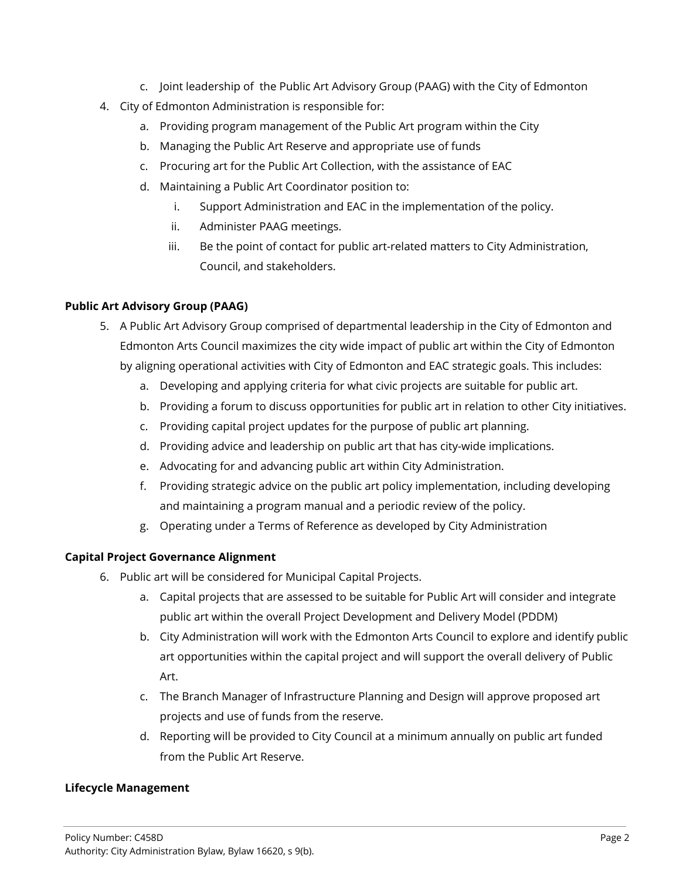- c. Joint leadership of the Public Art Advisory Group (PAAG) with the City of Edmonton
- 4. City of Edmonton Administration is responsible for:
	- a. Providing program management of the Public Art program within the City
	- b. Managing the Public Art Reserve and appropriate use of funds
	- c. Procuring art for the Public Art Collection, with the assistance of EAC
	- d. Maintaining a Public Art Coordinator position to:
		- i. Support Administration and EAC in the implementation of the policy.
		- ii. Administer PAAG meetings.
		- iii. Be the point of contact for public art-related matters to City Administration, Council, and stakeholders.

### **Public Art Advisory Group (PAAG)**

- 5. A Public Art Advisory Group comprised of departmental leadership in the City of Edmonton and Edmonton Arts Council maximizes the city wide impact of public art within the City of Edmonton by aligning operational activities with City of Edmonton and EAC strategic goals. This includes:
	- a. Developing and applying criteria for what civic projects are suitable for public art.
	- b. Providing a forum to discuss opportunities for public art in relation to other City initiatives.
	- c. Providing capital project updates for the purpose of public art planning.
	- d. Providing advice and leadership on public art that has city-wide implications.
	- e. Advocating for and advancing public art within City Administration.
	- f. Providing strategic advice on the public art policy implementation, including developing and maintaining a program manual and a periodic review of the policy.
	- g. Operating under a Terms of Reference as developed by City Administration

#### **Capital Project Governance Alignment**

- 6. Public art will be considered for Municipal Capital Projects.
	- a. Capital projects that are assessed to be suitable for Public Art will consider and integrate public art within the overall Project Development and Delivery Model (PDDM)
	- b. City Administration will work with the Edmonton Arts Council to explore and identify public art opportunities within the capital project and will support the overall delivery of Public Art.
	- c. The Branch Manager of Infrastructure Planning and Design will approve proposed art projects and use of funds from the reserve.
	- d. Reporting will be provided to City Council at a minimum annually on public art funded from the Public Art Reserve.

# **Lifecycle Management**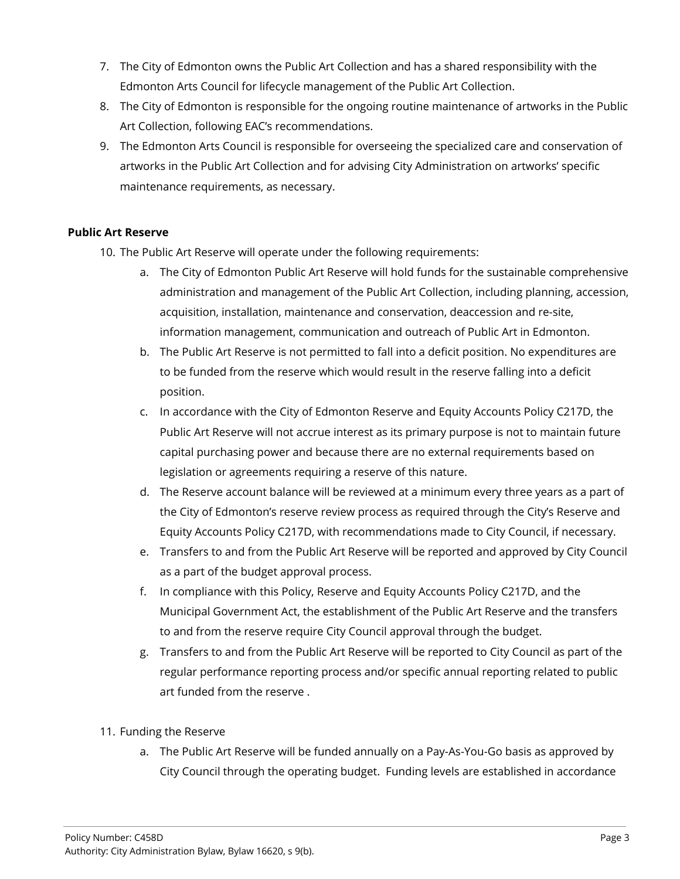- 7. The City of Edmonton owns the Public Art Collection and has a shared responsibility with the Edmonton Arts Council for lifecycle management of the Public Art Collection.
- 8. The City of Edmonton is responsible for the ongoing routine maintenance of artworks in the Public Art Collection, following EAC's recommendations.
- 9. The Edmonton Arts Council is responsible for overseeing the specialized care and conservation of artworks in the Public Art Collection and for advising City Administration on artworks' specific maintenance requirements, as necessary.

### **Public Art Reserve**

- 10. The Public Art Reserve will operate under the following requirements:
	- a. The City of Edmonton Public Art Reserve will hold funds for the sustainable comprehensive administration and management of the Public Art Collection, including planning, accession, acquisition, installation, maintenance and conservation, deaccession and re-site, information management, communication and outreach of Public Art in Edmonton.
	- b. The Public Art Reserve is not permitted to fall into a deficit position. No expenditures are to be funded from the reserve which would result in the reserve falling into a deficit position.
	- c. In accordance with the City of Edmonton Reserve and Equity Accounts Policy C217D, the Public Art Reserve will not accrue interest as its primary purpose is not to maintain future capital purchasing power and because there are no external requirements based on legislation or agreements requiring a reserve of this nature.
	- d. The Reserve account balance will be reviewed at a minimum every three years as a part of the City of Edmonton's reserve review process as required through the City's Reserve and Equity Accounts Policy C217D, with recommendations made to City Council, if necessary.
	- e. Transfers to and from the Public Art Reserve will be reported and approved by City Council as a part of the budget approval process.
	- f. In compliance with this Policy, Reserve and Equity Accounts Policy C217D, and the Municipal Government Act, the establishment of the Public Art Reserve and the transfers to and from the reserve require City Council approval through the budget.
	- g. Transfers to and from the Public Art Reserve will be reported to City Council as part of the regular performance reporting process and/or specific annual reporting related to public art funded from the reserve .

# 11. Funding the Reserve

a. The Public Art Reserve will be funded annually on a Pay-As-You-Go basis as approved by City Council through the operating budget. Funding levels are established in accordance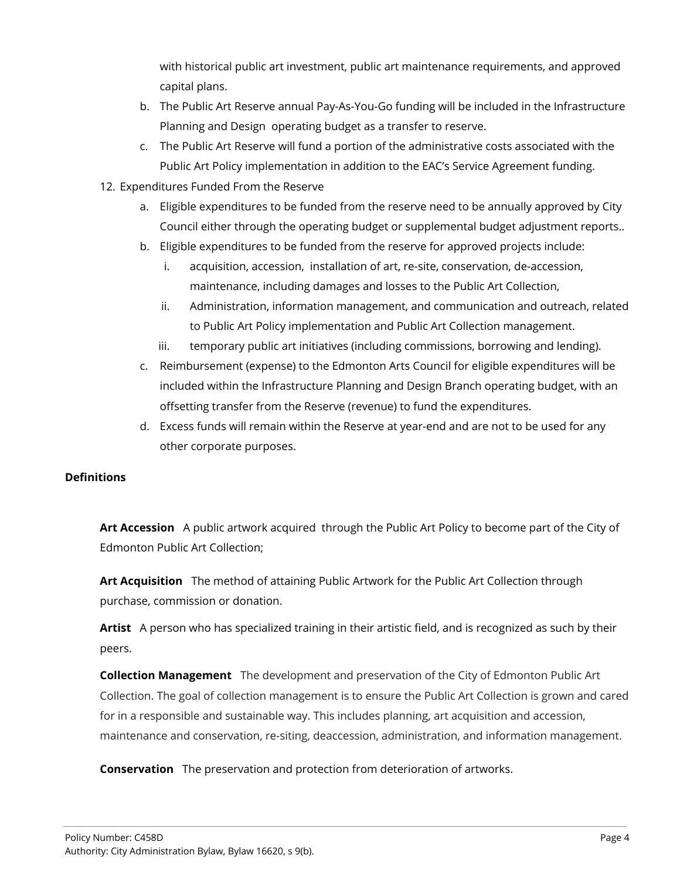with historical public art investment, public art maintenance requirements, and approved capital plans.

- b. The Public Art Reserve annual Pay-As-You-Go funding will be included in the Infrastructure Planning and Design operating budget as a transfer to reserve.
- c. The Public Art Reserve will fund a portion of the administrative costs associated with the Public Art Policy implementation in addition to the EAC's Service Agreement funding.
- 12. Expenditures Funded From the Reserve
	- a. Eligible expenditures to be funded from the reserve need to be annually approved by City Council either through the operating budget or supplemental budget adjustment reports..
	- b. Eligible expenditures to be funded from the reserve for approved projects include:
		- i. acquisition, accession, installation of art, re-site, conservation, de-accession, maintenance, including damages and losses to the Public Art Collection,
		- ii. Administration, information management, and communication and outreach, related to Public Art Policy implementation and Public Art Collection management.
		- iii. temporary public art initiatives (including commissions, borrowing and lending).
	- c. Reimbursement (expense) to the Edmonton Arts Council for eligible expenditures will be included within the Infrastructure Planning and Design Branch operating budget, with an offsetting transfer from the Reserve (revenue) to fund the expenditures.
	- d. Excess funds will remain within the Reserve at year-end and are not to be used for any other corporate purposes.

# **Definitions**

**Art Accession** A public artwork acquired through the Public Art Policy to become part of the City of Edmonton Public Art Collection;

**Art Acquisition** The method of attaining Public Artwork for the Public Art Collection through purchase, commission or donation.

**Artist** A person who has specialized training in their artistic field, and is recognized as such by their peers.

**Collection Management** The development and preservation of the City of Edmonton Public Art Collection. The goal of collection management is to ensure the Public Art Collection is grown and cared for in a responsible and sustainable way. This includes planning, art acquisition and accession, maintenance and conservation, re-siting, deaccession, administration, and information management.

**Conservation** The preservation and protection from deterioration of artworks.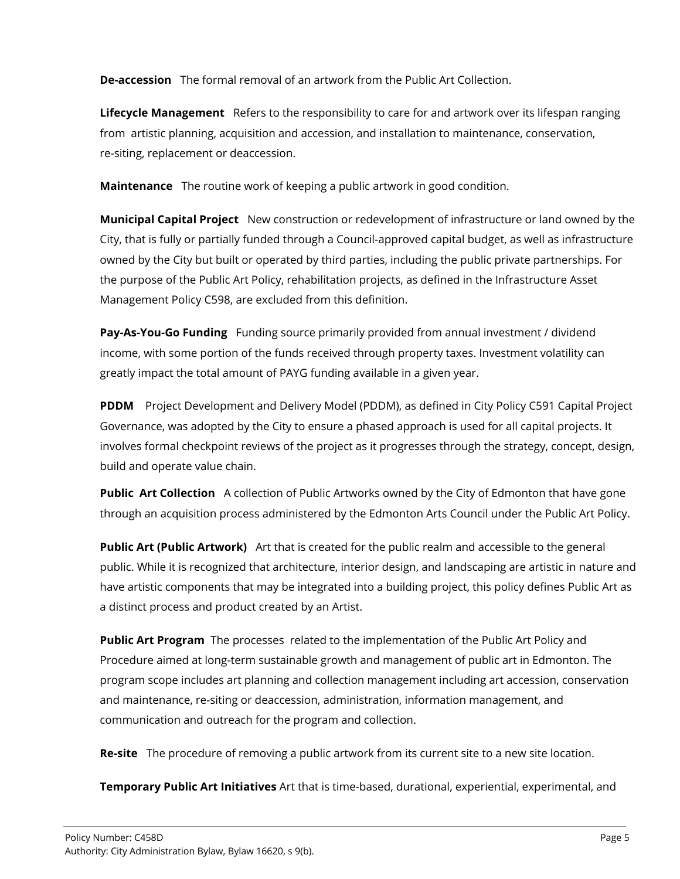**De-accession** The formal removal of an artwork from the Public Art Collection.

**Lifecycle Management** Refers to the responsibility to care for and artwork over its lifespan ranging from artistic planning, acquisition and accession, and installation to maintenance, conservation, re-siting, replacement or deaccession.

**Maintenance** The routine work of keeping a public artwork in good condition.

**Municipal Capital Project** New construction or redevelopment of infrastructure or land owned by the City, that is fully or partially funded through a Council-approved capital budget, as well as infrastructure owned by the City but built or operated by third parties, including the public private partnerships. For the purpose of the Public Art Policy, rehabilitation projects, as defined in the Infrastructure Asset Management Policy C598, are excluded from this definition.

**Pay-As-You-Go Funding** Funding source primarily provided from annual investment / dividend income, with some portion of the funds received through property taxes. Investment volatility can greatly impact the total amount of PAYG funding available in a given year.

**PDDM** Project Development and Delivery Model (PDDM), as defined in City Policy C591 Capital Project Governance, was adopted by the City to ensure a phased approach is used for all capital projects. It involves formal checkpoint reviews of the project as it progresses through the strategy, concept, design, build and operate value chain.

**Public Art Collection** A collection of Public Artworks owned by the City of Edmonton that have gone through an acquisition process administered by the Edmonton Arts Council under the Public Art Policy.

**Public Art (Public Artwork)** Art that is created for the public realm and accessible to the general public. While it is recognized that architecture, interior design, and landscaping are artistic in nature and have artistic components that may be integrated into a building project, this policy defines Public Art as a distinct process and product created by an Artist.

**Public Art Program** The processes related to the implementation of the Public Art Policy and Procedure aimed at long-term sustainable growth and management of public art in Edmonton. The program scope includes art planning and collection management including art accession, conservation and maintenance, re-siting or deaccession, administration, information management, and communication and outreach for the program and collection.

**Re-site** The procedure of removing a public artwork from its current site to a new site location.

**Temporary Public Art Initiatives** Art that is time-based, durational, experiential, experimental, and